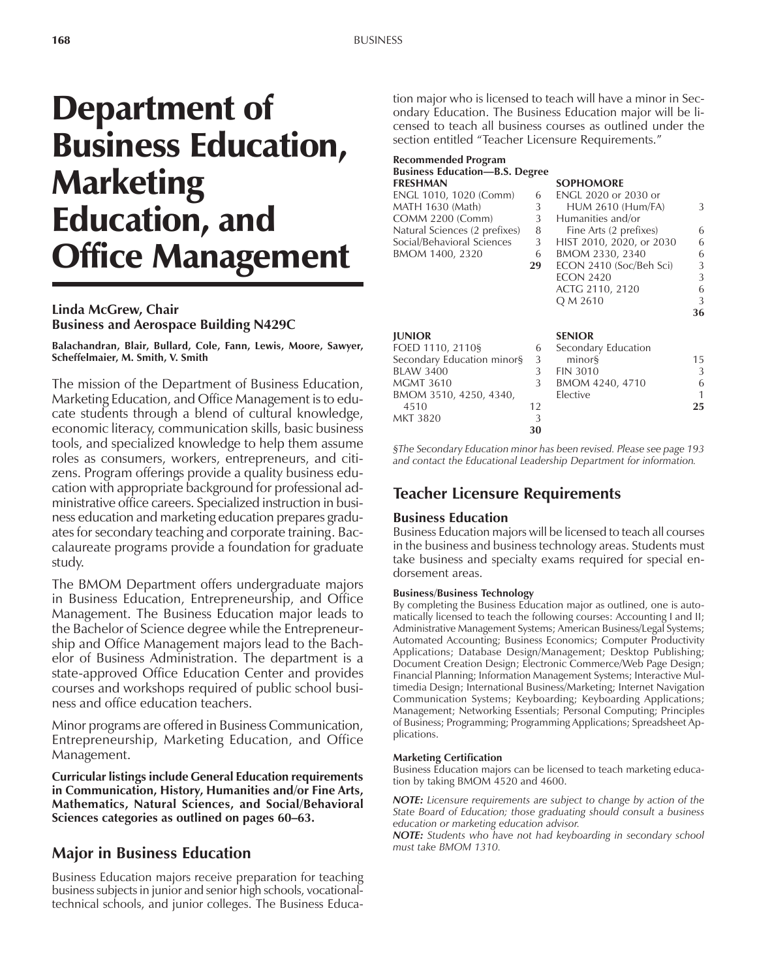# Department of Business Education, **Marketing** Education, and Office Management

#### **Linda McGrew, Chair Business and Aerospace Building N429C**

**Balachandran, Blair, Bullard, Cole, Fann, Lewis, Moore, Sawyer, Scheffelmaier, M. Smith, V. Smith**

The mission of the Department of Business Education, Marketing Education, and Office Management is to educate students through a blend of cultural knowledge, economic literacy, communication skills, basic business tools, and specialized knowledge to help them assume roles as consumers, workers, entrepreneurs, and citizens. Program offerings provide a quality business education with appropriate background for professional administrative office careers. Specialized instruction in business education and marketing education prepares graduates for secondary teaching and corporate training. Baccalaureate programs provide a foundation for graduate study.

The BMOM Department offers undergraduate majors in Business Education, Entrepreneurship, and Office Management. The Business Education major leads to the Bachelor of Science degree while the Entrepreneurship and Office Management majors lead to the Bachelor of Business Administration. The department is a state-approved Office Education Center and provides courses and workshops required of public school business and office education teachers.

Minor programs are offered in Business Communication, Entrepreneurship, Marketing Education, and Office Management.

**Curricular listings include General Education requirements in Communication, History, Humanities and/or Fine Arts, Mathematics, Natural Sciences, and Social/Behavioral Sciences categories as outlined on pages 60–63.** 

## **Major in Business Education**

Business Education majors receive preparation for teaching business subjects in junior and senior high schools, vocationaltechnical schools, and junior colleges. The Business Education major who is licensed to teach will have a minor in Secondary Education. The Business Education major will be licensed to teach all business courses as outlined under the section entitled "Teacher Licensure Requirements."

| Recommended Program<br><b>Business Education-B.S. Degree</b><br><b>FRESHMAN</b> |    | <b>SOPHOMORE</b>            |    |
|---------------------------------------------------------------------------------|----|-----------------------------|----|
| ENGL 1010, 1020 (Comm)                                                          | 6  | <b>ENGL 2020 or 2030 or</b> |    |
| MATH 1630 (Math)                                                                | 3  | <b>HUM 2610 (Hum/FA)</b>    | 3  |
| COMM 2200 (Comm)                                                                | 3  | Humanities and/or           |    |
| Natural Sciences (2 prefixes)                                                   | 8  | Fine Arts (2 prefixes)      | 6  |
| Social/Behavioral Sciences                                                      | 3  | HIST 2010, 2020, or 2030    | 6  |
| BMOM 1400, 2320                                                                 | 6  | BMOM 2330, 2340             | 6  |
|                                                                                 | 29 | ECON 2410 (Soc/Beh Sci)     | 3  |
|                                                                                 |    | <b>ECON 2420</b>            | 3  |
|                                                                                 |    | ACTG 2110, 2120             | 6  |
|                                                                                 |    | Q M 2610                    | 3  |
|                                                                                 |    |                             | 36 |
| <b>JUNIOR</b>                                                                   |    | <b>SENIOR</b>               |    |
| FOED 1110, 2110§                                                                | 6  | Secondary Education         |    |
| Secondary Education minor§                                                      | 3  | minors                      | 15 |
| <b>BLAW 3400</b>                                                                | 3  | <b>FIN 3010</b>             | 3  |
| <b>MGMT 3610</b>                                                                | 3  | BMOM 4240, 4710             | 6  |
| BMOM 3510, 4250, 4340,                                                          |    | Elective                    |    |
| 4510                                                                            | 12 |                             | 25 |
| MKT 3820                                                                        | 3  |                             |    |
|                                                                                 | 30 |                             |    |

*ßThe Secondary Education minor has been revised. Please see page 193 and contact the Educational Leadership Department for information.*

## **Teacher Licensure Requirements**

## **Business Education**

Business Education majors will be licensed to teach all courses in the business and business technology areas. Students must take business and specialty exams required for special endorsement areas.

#### **Business/Business Technology**

By completing the Business Education major as outlined, one is automatically licensed to teach the following courses: Accounting I and II; Administrative Management Systems; American Business/Legal Systems; Automated Accounting; Business Economics; Computer Productivity Applications; Database Design/Management; Desktop Publishing; Document Creation Design; Electronic Commerce/Web Page Design; Financial Planning; Information Management Systems; Interactive Multimedia Design; International Business/Marketing; Internet Navigation Communication Systems; Keyboarding; Keyboarding Applications; Management; Networking Essentials; Personal Computing; Principles of Business; Programming; Programming Applications; Spreadsheet Applications.

#### **Marketing Certification**

Business Education majors can be licensed to teach marketing education by taking BMOM 4520 and 4600.

*NOTE: Licensure requirements are subject to change by action of the State Board of Education; those graduating should consult a business education or marketing education advisor.*

*NOTE: Students who have not had keyboarding in secondary school must take BMOM 1310.*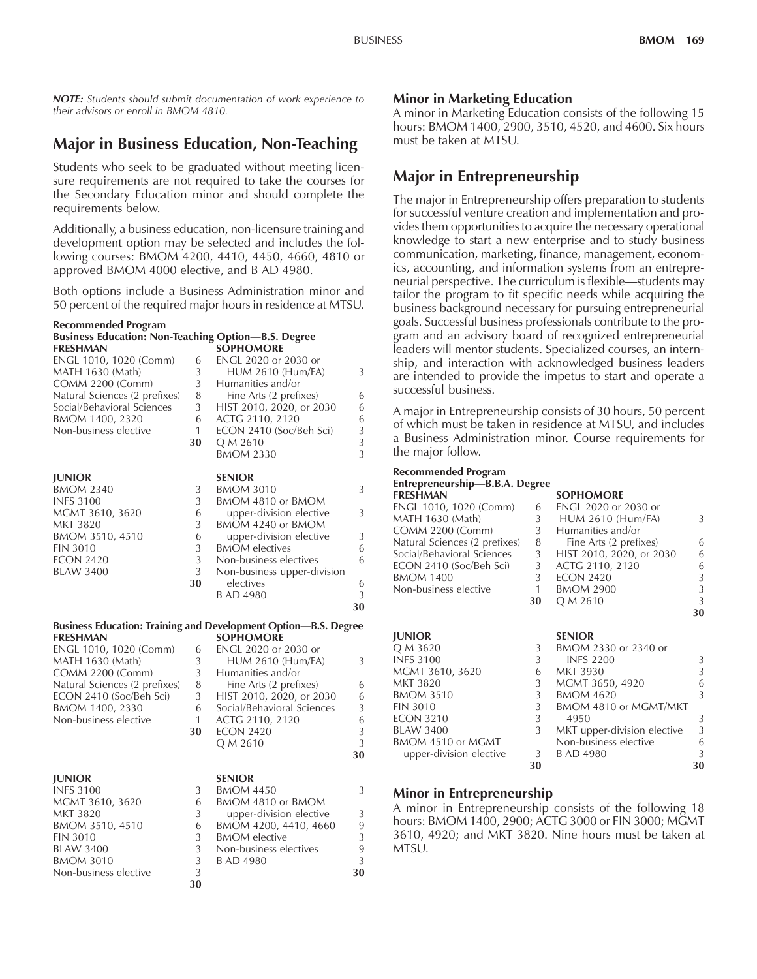**30**

*NOTE: Students should submit documentation of work experience to their advisors or enroll in BMOM 4810.*

# **Major in Business Education, Non-Teaching**

Students who seek to be graduated without meeting licensure requirements are not required to take the courses for the Secondary Education minor and should complete the requirements below.

Additionally, a business education, non-licensure training and development option may be selected and includes the following courses: BMOM 4200, 4410, 4450, 4660, 4810 or approved BMOM 4000 elective, and B AD 4980.

Both options include a Business Administration minor and 50 percent of the required major hours in residence at MTSU.

#### **Recommended Program Business Education: Non-Teaching Option-B.S. Degree FRESHMAN SOPHOMORE**<br> **ENGL 1010, 1020 (Comm)** 6 **ENGL 2020 or 2030 or** ENGL 1010, 1020 (Comm) MATH 1630 (Math) 3 HUM 2610 (Hum/FA) 3 COMM 2200 (Comm) 3 Humanities and/or<br>Natural Sciences (2 prefixes) 8 Fine Arts (2 prefixes) Natural Sciences (2 prefixes) 8 Fine Arts (2 prefixes) 6 Social/Behavioral Sciences 3 HIST 2010, 2020, or 2030 6 BMOM 1400, 2320 6 ACTG 2110, 2120 6<br>
Non-business elective 1 ECON 2410 (Soc/Beh Sci) 3 1 ECON 2410 (Soc/Beh Sci) **30** Q M 2610 3<br>BMOM 2330 3 **BMOM 2330 JUNIOR SENIOR** BMOM 2340 3 BMOM 3010 3<br>INFS 3100 3 BMOM 4810 or BMOM INFS 3100 3 BMOM 4810 or BMOM<br>MGMT 3610, 3620 6 upper-division elective 6 upper-division elective 3 MKT 3820 3 BMOM 4240 or BMOM<br>BMOM 3510, 4510 6 upper-division elective upper-division elective 3 FIN 3010 3 BMOM electives 6 ECON 2420 3 Non-business electives 6<br>BLAW 3400 3 Non-business upper-division Non-business upper-division **30** electives 6 B AD 4980 3 **30 Business Education: Training and Development Option–B.S. Degree FRESHMAN SOPHOMORE**<br> **ENGL 1010, 1020 (Comm)** 6 **ENGL 2020 or 2030 or** ENGL 1010, 1020 (Comm) 6 MATH 1630 (Math) 3 HUM 2610 (Hum/FA) 3<br>COMM 2200 (Comm) 3 Humanities and/or COMM 2200 (Comm) 3 Humanities and/or<br>Natural Sciences (2 prefixes) 8 Fine Arts (2 prefixes) Natural Sciences (2 prefixes) 8 Fine Arts (2 prefixes) 6 ECON 2410 (Soc/Beh Sci) 3 HIST 2010, 2020, or 2030 6 BMOM 1400, 2330 6 Social/Behavioral Sciences 3 Non-business elective 1 ACTG 2110, 2120 6 **30** ECON 2420 3 Q M 2610 3 **30 JUNIOR** SENIOR<br>INFS 3100 3 BMOM BMOM 4450 3 MGMT 3610, 3620 6 BMOM 4810 or BMOM MKT 3820 3 upper-division elective 3<br>BMOM 3510. 4510 6 BMOM 4200. 4410. 4660 9 BMOM 3510, 4510 6 BMOM 4200, 4410, 4660 9<br>FIN 3010 3 BMOM elective 3 FIN 3010 3 BMOM elective 3<br>BLAW 3400 3 Non-business electives 9

BMOM 3010 3 B AD 4980 3 Non-business elective 3 **30 30**

Non-business electives

## **Minor in Marketing Education**

A minor in Marketing Education consists of the following 15 hours: BMOM 1400, 2900, 3510, 4520, and 4600. Six hours must be taken at MTSU.

# **Major in Entrepreneurship**

The major in Entrepreneurship offers preparation to students for successful venture creation and implementation and provides them opportunities to acquire the necessary operational knowledge to start a new enterprise and to study business communication, marketing, finance, management, economics, accounting, and information systems from an entrepreneurial perspective. The curriculum is flexible—students may tailor the program to fit specific needs while acquiring the business background necessary for pursuing entrepreneurial goals. Successful business professionals contribute to the program and an advisory board of recognized entrepreneurial leaders will mentor students. Specialized courses, an internship, and interaction with acknowledged business leaders are intended to provide the impetus to start and operate a successful business.

A major in Entrepreneurship consists of 30 hours, 50 percent of which must be taken in residence at MTSU, and includes a Business Administration minor. Course requirements for the major follow.

#### **Recommended Program Entrepreneurship—B.B.A. Degree**

| en u prenom omposant pegrec   |    |                          |   |
|-------------------------------|----|--------------------------|---|
| <b>FRESHMAN</b>               |    | <b>SOPHOMORE</b>         |   |
| ENGL 1010, 1020 (Comm)        | 6  | ENGL 2020 or 2030 or     |   |
| MATH 1630 (Math)              | 3  | <b>HUM 2610 (Hum/FA)</b> | 3 |
| <b>COMM 2200 (Comm)</b>       | 3  | Humanities and/or        |   |
| Natural Sciences (2 prefixes) | 8  | Fine Arts (2 prefixes)   | 6 |
| Social/Behavioral Sciences    | 3  | HIST 2010, 2020, or 2030 | 6 |
| ECON 2410 (Soc/Beh Sci)       | 3  | ACTG 2110, 2120          | 6 |
| <b>BMOM 1400</b>              | 3  | <b>ECON 2420</b>         | 3 |
| Non-business elective         |    | <b>BMOM 2900</b>         | 3 |
|                               | 30 | Q M 2610                 | 3 |
|                               |    |                          |   |

| <b>JUNIOR</b>           |    | <b>SENIOR</b>               |    |
|-------------------------|----|-----------------------------|----|
| Q M 3620                | 3  | BMOM 2330 or 2340 or        |    |
| <b>INFS 3100</b>        | 3  | <b>INFS 2200</b>            | 3  |
| MGMT 3610, 3620         | 6  | <b>MKT 3930</b>             | 3  |
| <b>MKT 3820</b>         | 3  | MGMT 3650, 4920             | 6  |
| <b>BMOM 3510</b>        | 3  | <b>BMOM 4620</b>            | 3  |
| <b>FIN 3010</b>         | 3  | BMOM 4810 or MGMT/MKT       |    |
| <b>ECON 3210</b>        | 3  | 4950                        | 3  |
| <b>BLAW 3400</b>        | 3  | MKT upper-division elective | 3  |
| BMOM 4510 or MGMT       |    | Non-business elective       | 6  |
| upper-division elective |    | 3 B AD 4980                 | 3  |
|                         | 30 |                             | 30 |

## **Minor in Entrepreneurship**

A minor in Entrepreneurship consists of the following 18 hours: BMOM 1400, 2900; ACTG 3000 or FIN 3000; MGMT 3610, 4920; and MKT 3820. Nine hours must be taken at MTSU.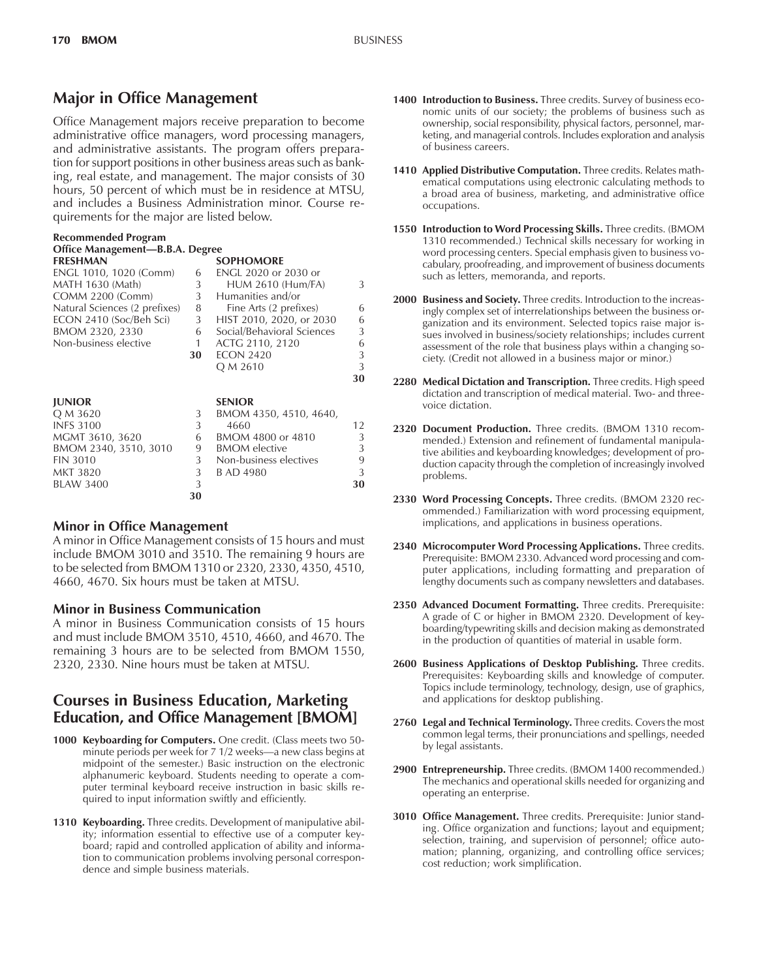## **Major in Office Management**

Office Management majors receive preparation to become administrative office managers, word processing managers, and administrative assistants. The program offers preparation for support positions in other business areas such as banking, real estate, and management. The major consists of 30 hours, 50 percent of which must be in residence at MTSU, and includes a Business Administration minor. Course requirements for the major are listed below.

| Recommended Program<br>Office Management-B.B.A. Degree |                |                             |               |  |  |  |  |
|--------------------------------------------------------|----------------|-----------------------------|---------------|--|--|--|--|
| <b>FRESHMAN</b>                                        |                | <b>SOPHOMORE</b>            |               |  |  |  |  |
| ENGL 1010, 1020 (Comm)                                 | 6              | <b>ENGL 2020 or 2030 or</b> |               |  |  |  |  |
| MATH 1630 (Math)                                       | 3              | <b>HUM 2610 (Hum/FA)</b>    | 3             |  |  |  |  |
| COMM 2200 (Comm)                                       | 3              | Humanities and/or           |               |  |  |  |  |
| Natural Sciences (2 prefixes)                          | 8              | Fine Arts (2 prefixes)      | 6             |  |  |  |  |
| ECON 2410 (Soc/Beh Sci)                                | 3              | HIST 2010, 2020, or 2030    | 6             |  |  |  |  |
| BMOM 2320, 2330                                        | 6              | Social/Behavioral Sciences  | 3             |  |  |  |  |
| Non-business elective                                  | 1              | ACTG 2110, 2120             | 6             |  |  |  |  |
|                                                        | 30             | <b>ECON 2420</b>            | 3             |  |  |  |  |
|                                                        |                | Q M 2610                    | 3             |  |  |  |  |
|                                                        |                |                             | 30            |  |  |  |  |
|                                                        |                |                             |               |  |  |  |  |
| <b>JUNIOR</b>                                          |                | <b>SENIOR</b>               |               |  |  |  |  |
| Q M 3620                                               | 3              | BMOM 4350, 4510, 4640,      |               |  |  |  |  |
| <b>INFS 3100</b>                                       | 3              | 4660                        | 12            |  |  |  |  |
| MGMT 3610, 3620                                        | 6              | BMOM 4800 or 4810           | 3             |  |  |  |  |
| BMOM 2340, 3510, 3010                                  | 9              | <b>BMOM</b> elective        | 3             |  |  |  |  |
| <b>FIN 3010</b>                                        | 3 <sup>7</sup> | Non-business electives      | 9             |  |  |  |  |
| <b>MKT 3820</b>                                        | 3              | B AD 4980                   | $\mathcal{L}$ |  |  |  |  |
| <b>BLAW 3400</b>                                       | 3              |                             | 30            |  |  |  |  |
|                                                        | 30             |                             |               |  |  |  |  |

## **Minor in Office Management**

A minor in Office Management consists of 15 hours and must include BMOM 3010 and 3510. The remaining 9 hours are to be selected from BMOM 1310 or 2320, 2330, 4350, 4510, 4660, 4670. Six hours must be taken at MTSU.

#### **Minor in Business Communication**

A minor in Business Communication consists of 15 hours and must include BMOM 3510, 4510, 4660, and 4670. The remaining 3 hours are to be selected from BMOM 1550, 2320, 2330. Nine hours must be taken at MTSU.

## **Courses in Business Education, Marketing Education, and Office Management [BMOM]**

- **1000 Keyboarding for Computers.** One credit. (Class meets two 50 minute periods per week for 7 1/2 weeks-a new class begins at midpoint of the semester.) Basic instruction on the electronic alphanumeric keyboard. Students needing to operate a computer terminal keyboard receive instruction in basic skills required to input information swiftly and efficiently.
- **1310 Keyboarding.** Three credits. Development of manipulative ability; information essential to effective use of a computer keyboard; rapid and controlled application of ability and information to communication problems involving personal correspondence and simple business materials.
- **1400 Introduction to Business.** Three credits. Survey of business economic units of our society; the problems of business such as ownership, social responsibility, physical factors, personnel, marketing, and managerial controls. Includes exploration and analysis of business careers.
- **1410 Applied Distributive Computation.** Three credits. Relates mathematical computations using electronic calculating methods to a broad area of business, marketing, and administrative office occupations.
- **1550 Introduction to Word Processing Skills.** Three credits. (BMOM 1310 recommended.) Technical skills necessary for working in word processing centers. Special emphasis given to business vocabulary, proofreading, and improvement of business documents such as letters, memoranda, and reports.
- **2000 Business and Society.** Three credits. Introduction to the increasingly complex set of interrelationships between the business organization and its environment. Selected topics raise major issues involved in business/society relationships; includes current assessment of the role that business plays within a changing society. (Credit not allowed in a business major or minor.)
- **2280 Medical Dictation and Transcription.** Three credits. High speed dictation and transcription of medical material. Two- and threevoice dictation.
- **2320 Document Production.** Three credits. (BMOM 1310 recommended.) Extension and refinement of fundamental manipulative abilities and keyboarding knowledges; development of production capacity through the completion of increasingly involved problems.
- **2330 Word Processing Concepts.** Three credits. (BMOM 2320 recommended.) Familiarization with word processing equipment, implications, and applications in business operations.
- **2340 Microcomputer Word Processing Applications.** Three credits. Prerequisite: BMOM 2330. Advanced word processing and computer applications, including formatting and preparation of lengthy documents such as company newsletters and databases.
- **2350 Advanced Document Formatting.** Three credits. Prerequisite: A grade of C or higher in BMOM 2320. Development of keyboarding/typewriting skills and decision making as demonstrated in the production of quantities of material in usable form.
- **2600 Business Applications of Desktop Publishing.** Three credits. Prerequisites: Keyboarding skills and knowledge of computer. Topics include terminology, technology, design, use of graphics, and applications for desktop publishing.
- **2760 Legal and Technical Terminology.** Three credits. Covers the most common legal terms, their pronunciations and spellings, needed by legal assistants.
- **2900 Entrepreneurship.** Three credits. (BMOM 1400 recommended.) The mechanics and operational skills needed for organizing and operating an enterprise.
- **3010 Office Management.** Three credits. Prerequisite: Junior standing. Office organization and functions; layout and equipment; selection, training, and supervision of personnel; office automation; planning, organizing, and controlling office services; cost reduction; work simplification.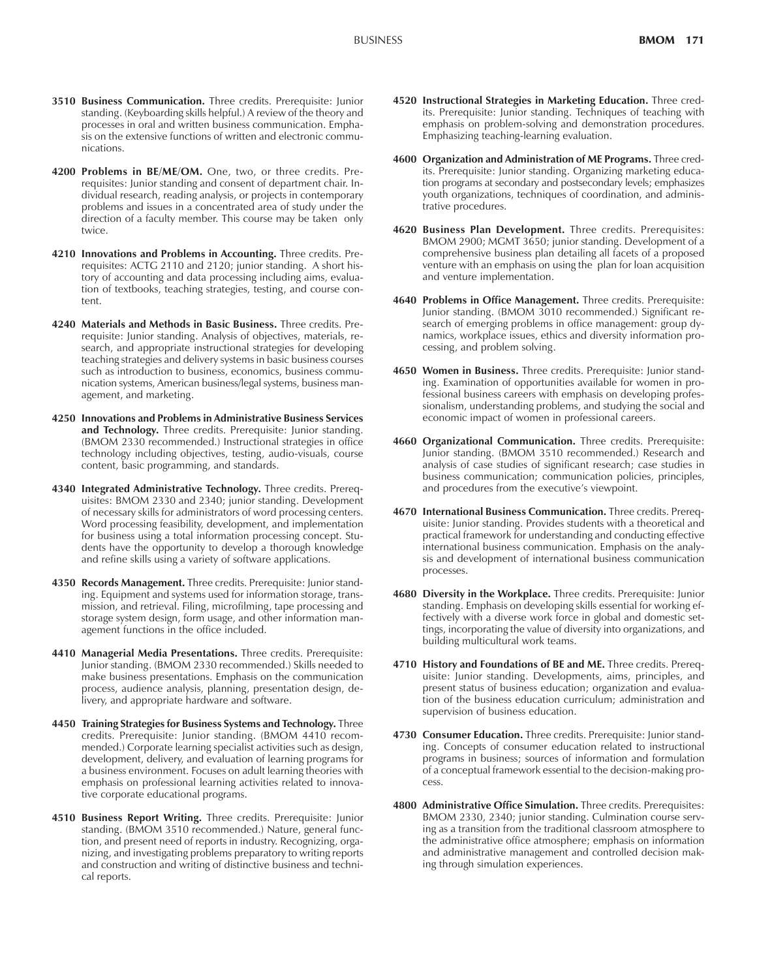- **3510 Business Communication.** Three credits. Prerequisite: Junior standing. (Keyboarding skills helpful.) A review of the theory and processes in oral and written business communication. Emphasis on the extensive functions of written and electronic communications.
- **4200 Problems in BE/ME/OM.** One, two, or three credits. Prerequisites: Junior standing and consent of department chair. Individual research, reading analysis, or projects in contemporary problems and issues in a concentrated area of study under the direction of a faculty member. This course may be taken only twice.
- **4210 Innovations and Problems in Accounting.** Three credits. Prerequisites: ACTG 2110 and 2120; junior standing. A short history of accounting and data processing including aims, evaluation of textbooks, teaching strategies, testing, and course content.
- **4240 Materials and Methods in Basic Business.** Three credits. Prerequisite: Junior standing. Analysis of objectives, materials, research, and appropriate instructional strategies for developing teaching strategies and delivery systems in basic business courses such as introduction to business, economics, business communication systems, American business/legal systems, business management, and marketing.
- **4250 Innovations and Problems in Administrative Business Services and Technology.** Three credits. Prerequisite: Junior standing. (BMOM 2330 recommended.) Instructional strategies in office technology including objectives, testing, audio-visuals, course content, basic programming, and standards.
- **4340 Integrated Administrative Technology.** Three credits. Prerequisites: BMOM 2330 and 2340; junior standing. Development of necessary skills for administrators of word processing centers. Word processing feasibility, development, and implementation for business using a total information processing concept. Students have the opportunity to develop a thorough knowledge and refine skills using a variety of software applications.
- **4350 Records Management.** Three credits. Prerequisite: Junior standing. Equipment and systems used for information storage, transmission, and retrieval. Filing, microfilming, tape processing and storage system design, form usage, and other information management functions in the office included.
- **4410 Managerial Media Presentations.** Three credits. Prerequisite: Junior standing. (BMOM 2330 recommended.) Skills needed to make business presentations. Emphasis on the communication process, audience analysis, planning, presentation design, delivery, and appropriate hardware and software.
- **4450 Training Strategies for Business Systems and Technology.** Three credits. Prerequisite: Junior standing. (BMOM 4410 recommended.) Corporate learning specialist activities such as design, development, delivery, and evaluation of learning programs for a business environment. Focuses on adult learning theories with emphasis on professional learning activities related to innovative corporate educational programs.
- **4510 Business Report Writing.** Three credits. Prerequisite: Junior standing. (BMOM 3510 recommended.) Nature, general function, and present need of reports in industry. Recognizing, organizing, and investigating problems preparatory to writing reports and construction and writing of distinctive business and technical reports.
- **4520 Instructional Strategies in Marketing Education.** Three credits. Prerequisite: Junior standing. Techniques of teaching with emphasis on problem-solving and demonstration procedures. Emphasizing teaching-learning evaluation.
- **4600 Organization and Administration of ME Programs.** Three credits. Prerequisite: Junior standing. Organizing marketing education programs at secondary and postsecondary levels; emphasizes youth organizations, techniques of coordination, and administrative procedures.
- **4620 Business Plan Development.** Three credits. Prerequisites: BMOM 2900; MGMT 3650; junior standing. Development of a comprehensive business plan detailing all facets of a proposed venture with an emphasis on using the plan for loan acquisition and venture implementation.
- **4640 Problems in Office Management.** Three credits. Prerequisite: Junior standing. (BMOM 3010 recommended.) Significant research of emerging problems in office management: group dynamics, workplace issues, ethics and diversity information processing, and problem solving.
- **4650 Women in Business.** Three credits. Prerequisite: Junior standing. Examination of opportunities available for women in professional business careers with emphasis on developing professionalism, understanding problems, and studying the social and economic impact of women in professional careers.
- **4660 Organizational Communication.** Three credits. Prerequisite: Junior standing. (BMOM 3510 recommended.) Research and analysis of case studies of significant research; case studies in business communication; communication policies, principles, and procedures from the executive's viewpoint.
- **4670 International Business Communication.** Three credits. Prerequisite: Junior standing. Provides students with a theoretical and practical framework for understanding and conducting effective international business communication. Emphasis on the analysis and development of international business communication processes.
- **4680 Diversity in the Workplace.** Three credits. Prerequisite: Junior standing. Emphasis on developing skills essential for working effectively with a diverse work force in global and domestic settings, incorporating the value of diversity into organizations, and building multicultural work teams.
- **4710 History and Foundations of BE and ME.** Three credits. Prerequisite: Junior standing. Developments, aims, principles, and present status of business education; organization and evaluation of the business education curriculum; administration and supervision of business education.
- **4730 Consumer Education.** Three credits. Prerequisite: Junior standing. Concepts of consumer education related to instructional programs in business; sources of information and formulation of a conceptual framework essential to the decision-making process.
- **4800 Administrative Office Simulation.** Three credits. Prerequisites: BMOM 2330, 2340; junior standing. Culmination course serving as a transition from the traditional classroom atmosphere to the administrative office atmosphere; emphasis on information and administrative management and controlled decision making through simulation experiences.